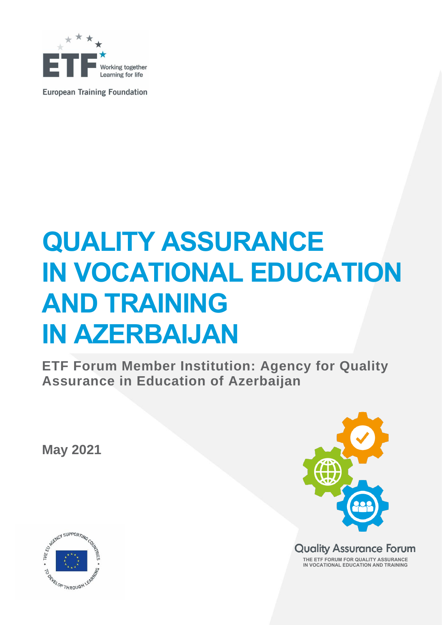

**European Training Foundation** 

# **QUALITY ASSURANCE IN VOCATIONAL EDUCATION AND TRAINING IN AZERBAIJAN**

**ETF Forum Member Institution: Agency for Quality Assurance in Education of Azerbaijan** 

**May 2021**



**Quality Assurance Forum THE ETF FORUM FOR QUALITY ASSURANCE IN VOCATIONAL EDUCATION AND TRAINING**

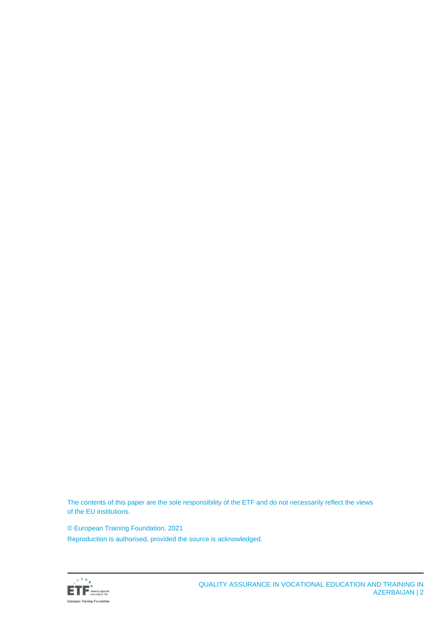The contents of this paper are the sole responsibility of the ETF and do not necessarily reflect the views of the EU institutions.

© European Training Foundation, 2021 Reproduction is authorised, provided the source is acknowledged.

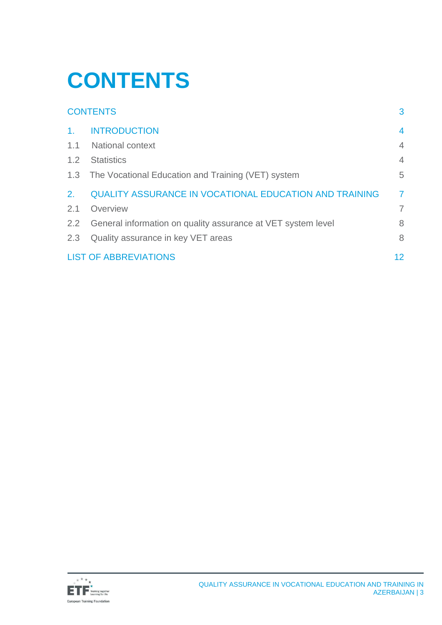# <span id="page-2-0"></span>**CONTENTS**

|                | <b>CONTENTS</b>                                               | 3              |
|----------------|---------------------------------------------------------------|----------------|
| $\mathbf{1}$ . | <b>INTRODUCTION</b>                                           | $\overline{4}$ |
| 1.1            | <b>National context</b>                                       | $\overline{4}$ |
| 1.2            | <b>Statistics</b>                                             | $\overline{4}$ |
|                | 1.3 The Vocational Education and Training (VET) system        | 5              |
| 2.             | <b>QUALITY ASSURANCE IN VOCATIONAL EDUCATION AND TRAINING</b> | $\overline{7}$ |
| 2.1            | Overview                                                      | $\overline{7}$ |
| 2.2            | General information on quality assurance at VET system level  | 8              |
| 2.3            | Quality assurance in key VET areas                            | 8              |
|                | <b>LIST OF ABBREVIATIONS</b>                                  | 12             |

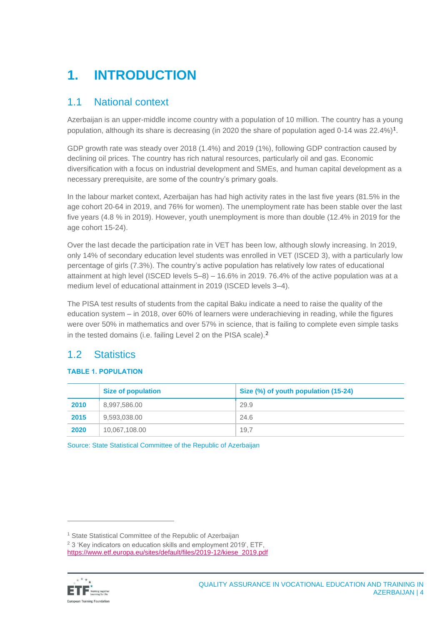# <span id="page-3-0"></span>**1. INTRODUCTION**

### <span id="page-3-1"></span>1.1 National context

Azerbaijan is an upper-middle income country with a population of 10 million. The country has a young population, although its share is decreasing (in 2020 the share of population aged 0-14 was  $22.4\%$ )<sup>1</sup>.

GDP growth rate was steady over 2018 (1.4%) and 2019 (1%), following GDP contraction caused by declining oil prices. The country has rich natural resources, particularly oil and gas. Economic diversification with a focus on industrial development and SMEs, and human capital development as a necessary prerequisite, are some of the country's primary goals.

In the labour market context, Azerbaijan has had high activity rates in the last five years (81.5% in the age cohort 20-64 in 2019, and 76% for women). The unemployment rate has been stable over the last five years (4.8 % in 2019). However, youth unemployment is more than double (12.4% in 2019 for the age cohort 15-24).

Over the last decade the participation rate in VET has been low, although slowly increasing. In 2019, only 14% of secondary education level students was enrolled in VET (ISCED 3), with a particularly low percentage of girls (7.3%). The country's active population has relatively low rates of educational attainment at high level (ISCED levels 5–8) – 16.6% in 2019. 76.4% of the active population was at a medium level of educational attainment in 2019 (ISCED levels 3–4).

The PISA test results of students from the capital Baku indicate a need to raise the quality of the education system – in 2018, over 60% of learners were underachieving in reading, while the figures were over 50% in mathematics and over 57% in science, that is failing to complete even simple tasks in the tested domains (i.e. failing Level 2 on the PISA scale).<sup>2</sup>

## <span id="page-3-2"></span>1.2 Statistics

#### **TABLE 1. POPULATION**

|      | <b>Size of population</b> | Size (%) of youth population (15-24) |
|------|---------------------------|--------------------------------------|
| 2010 | 8,997,586.00              | 29.9                                 |
| 2015 | 9,593,038.00              | 24.6                                 |
| 2020 | 10,067,108.00             | 19.7                                 |

Source: State Statistical Committee of the Republic of Azerbaijan

[https://www.etf.europa.eu/sites/default/files/2019-12/kiese\\_2019.pdf](https://www.etf.europa.eu/sites/default/files/2019-12/kiese_2019.pdf)



<sup>&</sup>lt;sup>1</sup> State Statistical Committee of the Republic of Azerbaijan

<sup>2</sup> 3 'Key indicators on education skills and employment 2019', ETF,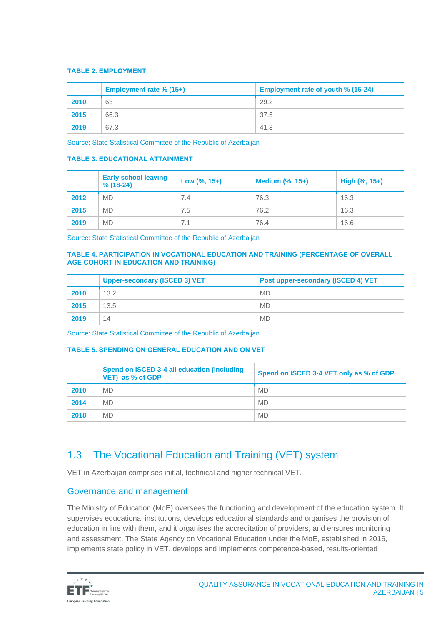#### **TABLE 2. EMPLOYMENT**

|      | Employment rate % (15+) | Employment rate of youth % (15-24) |
|------|-------------------------|------------------------------------|
| 2010 | 63                      | 29.2                               |
| 2015 | 66.3                    | 37.5                               |
| 2019 | 67.3                    | 41.3                               |

Source: State Statistical Committee of the Republic of Azerbaijan

#### **TABLE 3. EDUCATIONAL ATTAINMENT**

|      | <b>Early school leaving</b><br>$% (18-24)$ | Low $(\% , 15+)$ | <b>Medium (%, 15+)</b> | High $(\% , 15+)$ |
|------|--------------------------------------------|------------------|------------------------|-------------------|
| 2012 | <b>MD</b>                                  | 7.4              | 76.3                   | 16.3              |
| 2015 | <b>MD</b>                                  | 7.5              | 76.2                   | 16.3              |
| 2019 | <b>MD</b>                                  | 7.1              | 76.4                   | 16.6              |

Source: State Statistical Committee of the Republic of Azerbaijan

#### **TABLE 4. PARTICIPATION IN VOCATIONAL EDUCATION AND TRAINING (PERCENTAGE OF OVERALL AGE COHORT IN EDUCATION AND TRAINING)**

|      | <b>Upper-secondary (ISCED 3) VET</b> | Post upper-secondary (ISCED 4) VET |
|------|--------------------------------------|------------------------------------|
| 2010 | 13.2                                 | <b>MD</b>                          |
| 2015 | 13.5                                 | <b>MD</b>                          |
| 2019 | 14                                   | <b>MD</b>                          |

Source: State Statistical Committee of the Republic of Azerbaijan

#### **TABLE 5. SPENDING ON GENERAL EDUCATION AND ON VET**

|      | Spend on ISCED 3-4 all education (including<br>VET) as % of GDP | Spend on ISCED 3-4 VET only as % of GDP |
|------|-----------------------------------------------------------------|-----------------------------------------|
| 2010 | <b>MD</b>                                                       | <b>MD</b>                               |
| 2014 | <b>MD</b>                                                       | <b>MD</b>                               |
| 2018 | <b>MD</b>                                                       | <b>MD</b>                               |

## <span id="page-4-0"></span>1.3 The Vocational Education and Training (VET) system

VET in Azerbaijan comprises initial, technical and higher technical VET.

#### Governance and management

The Ministry of Education (MoE) oversees the functioning and development of the education system. It supervises educational institutions, develops educational standards and organises the provision of education in line with them, and it organises the accreditation of providers, and ensures monitoring and assessment. The State Agency on Vocational Education under the MoE, established in 2016, implements state policy in VET, develops and implements competence-based, results-oriented

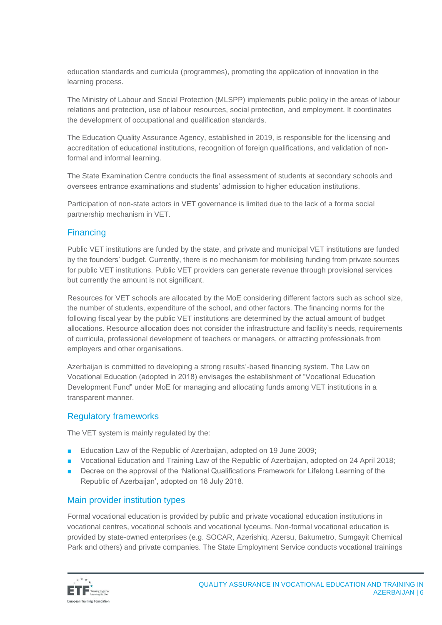education standards and curricula (programmes), promoting the application of innovation in the learning process.

The Ministry of Labour and Social Protection (MLSPP) implements public policy in the areas of labour relations and protection, use of labour resources, social protection, and employment. It coordinates the development of occupational and qualification standards.

The Education Quality Assurance Agency, established in 2019, is responsible for the licensing and accreditation of educational institutions, recognition of foreign qualifications, and validation of nonformal and informal learning.

The State Examination Centre conducts the final assessment of students at secondary schools and oversees entrance examinations and students' admission to higher education institutions.

Participation of non-state actors in VET governance is limited due to the lack of a forma social partnership mechanism in VET.

#### **Financing**

Public VET institutions are funded by the state, and private and municipal VET institutions are funded by the founders' budget. Currently, there is no mechanism for mobilising funding from private sources for public VET institutions. Public VET providers can generate revenue through provisional services but currently the amount is not significant.

Resources for VET schools are allocated by the MoE considering different factors such as school size, the number of students, expenditure of the school, and other factors. The financing norms for the following fiscal year by the public VET institutions are determined by the actual amount of budget allocations. Resource allocation does not consider the infrastructure and facility's needs, requirements of curricula, professional development of teachers or managers, or attracting professionals from employers and other organisations.

Azerbaijan is committed to developing a strong results'-based financing system. The Law on Vocational Education (adopted in 2018) envisages the establishment of "Vocational Education Development Fund" under MoE for managing and allocating funds among VET institutions in a transparent manner.

#### Regulatory frameworks

The VET system is mainly regulated by the:

- Education Law of the Republic of Azerbaijan, adopted on 19 June 2009;
- Vocational Education and Training Law of the Republic of Azerbaijan, adopted on 24 April 2018;
- Decree on the approval of the 'National Qualifications Framework for Lifelong Learning of the Republic of Azerbaijan', adopted on 18 July 2018.

#### Main provider institution types

Formal vocational education is provided by public and private vocational education institutions in vocational centres, vocational schools and vocational lyceums. Non-formal vocational education is provided by state-owned enterprises (e.g. SOCAR, Azerishiq, Azersu, Bakumetro, Sumgayit Chemical Park and others) and private companies. The State Employment Service conducts vocational trainings

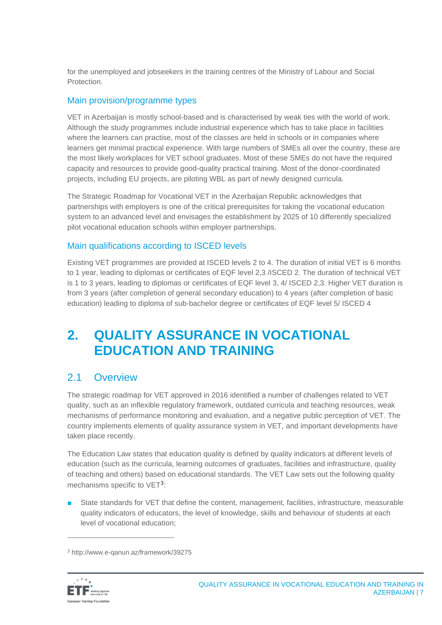for the unemployed and jobseekers in the training centres of the Ministry of Labour and Social **Protection** 

#### Main provision/programme types

VET in Azerbaijan is mostly school-based and is characterised by weak ties with the world of work. Although the study programmes include industrial experience which has to take place in facilities where the learners can practise, most of the classes are held in schools or in companies where learners get minimal practical experience. With large numbers of SMEs all over the country, these are the most likely workplaces for VET school graduates. Most of these SMEs do not have the required capacity and resources to provide good-quality practical training. Most of the donor-coordinated projects, including EU projects, are piloting WBL as part of newly designed curricula.

The Strategic Roadmap for Vocational VET in the Azerbaijan Republic acknowledges that partnerships with employers is one of the critical prerequisites for taking the vocational education system to an advanced level and envisages the establishment by 2025 of 10 differently specialized pilot vocational education schools within employer partnerships.

#### Main qualifications according to ISCED levels

Existing VET programmes are provided at ISCED levels 2 to 4. The duration of initial VET is 6 months to 1 year, leading to diplomas or certificates of EQF level 2,3 /ISCED 2. The duration of technical VET is 1 to 3 years, leading to diplomas or certificates of EQF level 3, 4/ ISCED 2,3. Higher VET duration is from 3 years (after completion of general secondary education) to 4 years (after completion of basic education) leading to diploma of sub-bachelor degree or certificates of EQF level 5/ ISCED 4

## <span id="page-6-0"></span>**2. QUALITY ASSURANCE IN VOCATIONAL EDUCATION AND TRAINING**

### <span id="page-6-1"></span>2.1 Overview

The strategic roadmap for VET approved in 2016 identified a number of challenges related to VET quality, such as an inflexible regulatory framework, outdated curricula and teaching resources, weak mechanisms of performance monitoring and evaluation, and a negative public perception of VET. The country implements elements of quality assurance system in VET, and important developments have taken place recently.

The Education Law states that education quality is defined by quality indicators at different levels of education (such as the curricula, learning outcomes of graduates, facilities and infrastructure, quality of teaching and others) based on educational standards. The VET Law sets out the following quality mechanisms specific to VET<sup>3</sup>:

■ State standards for VET that define the content, management, facilities, infrastructure, measurable quality indicators of educators, the level of knowledge, skills and behaviour of students at each level of vocational education;

<sup>3</sup> http://www.e-qanun.az/framework/39275

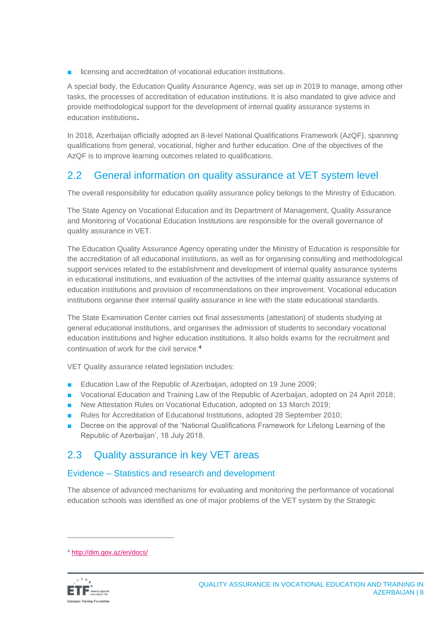■ licensing and accreditation of vocational education institutions.

A special body, the Education Quality Assurance Agency, was set up in 2019 to manage, among other tasks, the processes of accreditation of education institutions. It is also mandated to give advice and provide methodological support for the development of internal quality assurance systems in education institutions.

In 2018, Azerbaijan officially adopted an 8-level National Qualifications Framework (AzQF), spanning qualifications from general, vocational, higher and further education. One of the objectives of the AzQF is to improve learning outcomes related to qualifications.

## <span id="page-7-0"></span>2.2 General information on quality assurance at VET system level

The overall responsibility for education quality assurance policy belongs to the Ministry of Education.

The State Agency on Vocational Education and its Department of Management, Quality Assurance and Monitoring of Vocational Education Institutions are responsible for the overall governance of quality assurance in VET.

The Education Quality Assurance Agency operating under the Ministry of Education is responsible for the accreditation of all educational institutions, as well as for organising consulting and methodological support services related to the establishment and development of internal quality assurance systems in educational institutions, and evaluation of the activities of the internal quality assurance systems of education institutions and provision of recommendations on their improvement. Vocational education institutions organise their internal quality assurance in line with the state educational standards.

The State Examination Center carries out final assessments (attestation) of students studying at general educational institutions, and organises the admission of students to secondary vocational education institutions and higher education institutions. It also holds exams for the recruitment and continuation of work for the civil service.<sup>4</sup>

VET Quality assurance related legislation includes:

- Education Law of the Republic of Azerbaijan, adopted on 19 June 2009;
- Vocational Education and Training Law of the Republic of Azerbaijan, adopted on 24 April 2018;
- New Attestation Rules on Vocational Education, adopted on 13 March 2019;
- Rules for Accreditation of Educational Institutions, adopted 28 September 2010;
- Decree on the approval of the 'National Qualifications Framework for Lifelong Learning of the Republic of Azerbaijan', 18 July 2018.

## <span id="page-7-1"></span>2.3 Quality assurance in key VET areas

#### Evidence – Statistics and research and development

The absence of advanced mechanisms for evaluating and monitoring the performance of vocational education schools was identified as one of major problems of the VET system by the Strategic

<sup>4</sup> <http://dim.gov.az/en/docs/>

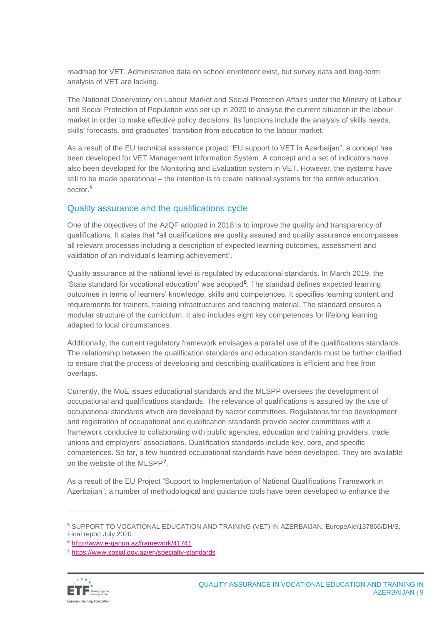roadmap for VET. Administrative data on school enrolment exist, but survey data and long-term analysis of VET are lacking.

The National Observatory on Labour Market and Social Protection Affairs under the Ministry of Labour and Social Protection of Population was set up in 2020 to analyse the current situation in the labour market in order to make effective policy decisions. Its functions include the analysis of skills needs, skills' forecasts, and graduates' transition from education to the labour market.

As a result of the EU technical assistance project "EU support to VET in Azerbaijan", a concept has been developed for VET Management Information System. A concept and a set of indicators have also been developed for the Monitoring and Evaluation system in VET. However, the systems have still to be made operational – the intention is to create national systems for the entire education sector.<sup>5</sup>

#### Quality assurance and the qualifications cycle

One of the objectives of the AzQF adopted in 2018 is to improve the quality and transparency of qualifications. It states that "all qualifications are quality assured and quality assurance encompasses all relevant processes including a description of expected learning outcomes, assessment and validation of an individual's learning achievement".

Quality assurance at the national level is regulated by educational standards. In March 2019, the 'State standard for vocational education' was adopted<sup>6</sup>. The standard defines expected learning outcomes in terms of learners' knowledge, skills and competences. It specifies learning content and requirements for trainers, training infrastructures and teaching material. The standard ensures a modular structure of the curriculum. It also includes eight key competences for lifelong learning adapted to local circumstances.

Additionally, the current regulatory framework envisages a parallel use of the qualifications standards. The relationship between the qualification standards and education standards must be further clarified to ensure that the process of developing and describing qualifications is efficient and free from overlaps.

Currently, the MoE issues educational standards and the MLSPP oversees the development of occupational and qualifications standards. The relevance of qualifications is assured by the use of occupational standards which are developed by sector committees. Regulations for the development and registration of occupational and qualification standards provide sector committees with a framework conducive to collaborating with public agencies, education and training providers, trade unions and employers' associations. Qualification standards include key, core, and specific competences. So far, a few hundred occupational standards have been developed. They are available on the website of the MLSPP<sup>7</sup> .

As a result of the EU Project "Support to Implementation of National Qualifications Framework in Azerbaijan", a number of methodological and guidance tools have been developed to enhance the

<sup>7</sup> <https://www.sosial.gov.az/en/specialty-standards>



<sup>&</sup>lt;sup>5</sup> SUPPORT TO VOCATIONAL EDUCATION AND TRAINING (VET) IN AZERBAIJAN, EuropeAid/137866/DH/S, Final report July 2020

<sup>6</sup> <http://www.e-qanun.az/framework/41741>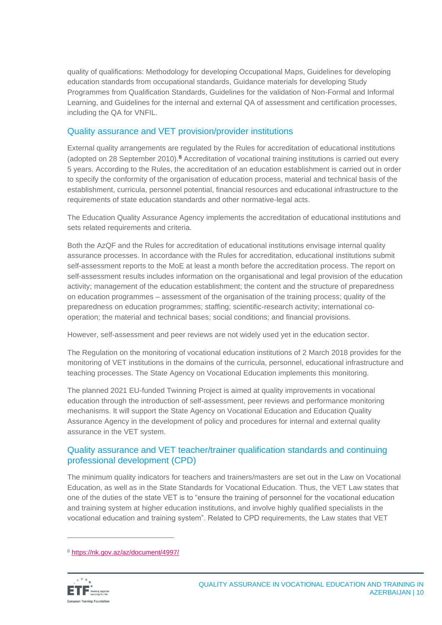quality of qualifications: Methodology for developing Occupational Maps, Guidelines for developing education standards from occupational standards, Guidance materials for developing Study Programmes from Qualification Standards, Guidelines for the validation of Non-Formal and Informal Learning, and Guidelines for the internal and external QA of assessment and certification processes, including the QA for VNFIL.

#### Quality assurance and VET provision/provider institutions

External quality arrangements are regulated by the Rules for accreditation of educational institutions (adopted on 28 September 2010).<sup>8</sup> Accreditation of vocational training institutions is carried out every 5 years. According to the Rules, the accreditation of an education establishment is carried out in order to specify the conformity of the organisation of education process, material and technical basis of the establishment, curricula, personnel potential, financial resources and educational infrastructure to the requirements of state education standards and other normative-legal acts.

The Education Quality Assurance Agency implements the accreditation of educational institutions and sets related requirements and criteria.

Both the AzQF and the Rules for accreditation of educational institutions envisage internal quality assurance processes. In accordance with the Rules for accreditation, educational institutions submit self-assessment reports to the MoE at least a month before the accreditation process. The report on self-assessment results includes information on the organisational and legal provision of the education activity; management of the education establishment; the content and the structure of preparedness on education programmes – assessment of the organisation of the training process; quality of the preparedness on education programmes; staffing; scientific-research activity; international cooperation; the material and technical bases; social conditions; and financial provisions.

However, self-assessment and peer reviews are not widely used yet in the education sector.

The Regulation on the monitoring of vocational education institutions of 2 March 2018 provides for the monitoring of VET institutions in the domains of the curricula, personnel, educational infrastructure and teaching processes. The State Agency on Vocational Education implements this monitoring.

The planned 2021 EU-funded Twinning Project is aimed at quality improvements in vocational education through the introduction of self-assessment, peer reviews and performance monitoring mechanisms. It will support the State Agency on Vocational Education and Education Quality Assurance Agency in the development of policy and procedures for internal and external quality assurance in the VET system.

#### Quality assurance and VET teacher/trainer qualification standards and continuing professional development (CPD)

The minimum quality indicators for teachers and trainers/masters are set out in the Law on Vocational Education, as well as in the State Standards for Vocational Education. Thus, the VET Law states that one of the duties of the state VET is to "ensure the training of personnel for the vocational education and training system at higher education institutions, and involve highly qualified specialists in the vocational education and training system". Related to CPD requirements, the Law states that VET

<sup>8</sup> <https://nk.gov.az/az/document/4997/>

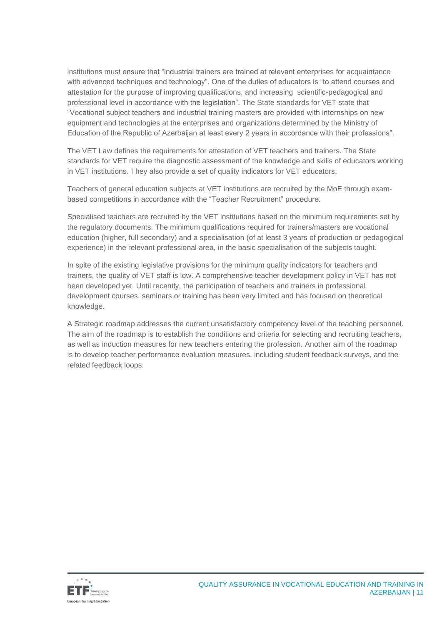institutions must ensure that "industrial trainers are trained at relevant enterprises for acquaintance with advanced techniques and technology". One of the duties of educators is "to attend courses and attestation for the purpose of improving qualifications, and increasing scientific-pedagogical and professional level in accordance with the legislation". The State standards for VET state that "Vocational subject teachers and industrial training masters are provided with internships on new equipment and technologies at the enterprises and organizations determined by the Ministry of Education of the Republic of Azerbaijan at least every 2 years in accordance with their professions".

The VET Law defines the requirements for attestation of VET teachers and trainers. The State standards for VET require the diagnostic assessment of the knowledge and skills of educators working in VET institutions. They also provide a set of quality indicators for VET educators.

Teachers of general education subjects at VET institutions are recruited by the MoE through exambased competitions in accordance with the "Teacher Recruitment" procedure.

Specialised teachers are recruited by the VET institutions based on the minimum requirements set by the regulatory documents. The minimum qualifications required for trainers/masters are vocational education (higher, full secondary) and a specialisation (of at least 3 years of production or pedagogical experience) in the relevant professional area, in the basic specialisation of the subjects taught.

In spite of the existing legislative provisions for the minimum quality indicators for teachers and trainers, the quality of VET staff is low. A comprehensive teacher development policy in VET has not been developed yet. Until recently, the participation of teachers and trainers in professional development courses, seminars or training has been very limited and has focused on theoretical knowledge.

A Strategic roadmap addresses the current unsatisfactory competency level of the teaching personnel. The aim of the roadmap is to establish the conditions and criteria for selecting and recruiting teachers, as well as induction measures for new teachers entering the profession. Another aim of the roadmap is to develop teacher performance evaluation measures, including student feedback surveys, and the related feedback loops.